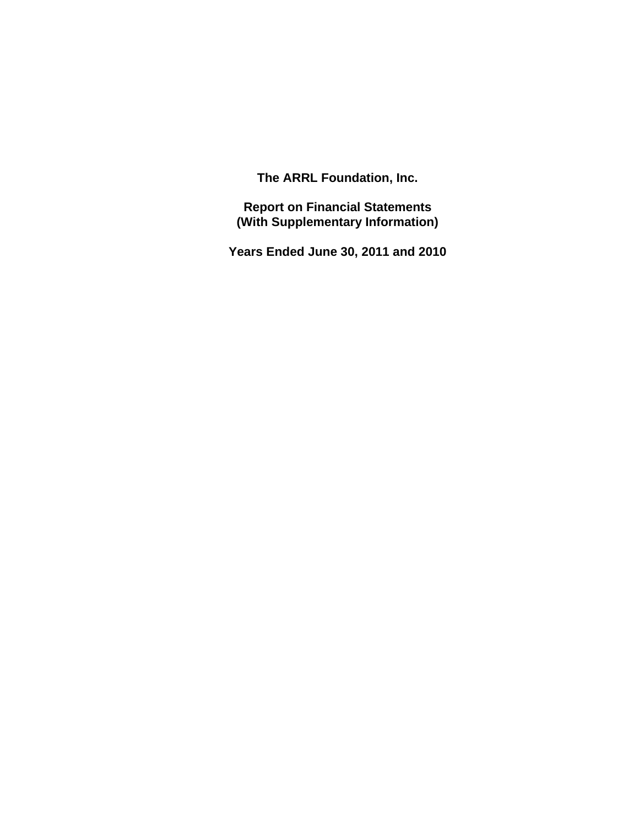**The ARRL Foundation, Inc.** 

**Report on Financial Statements (With Supplementary Information)** 

**Years Ended June 30, 2011 and 2010**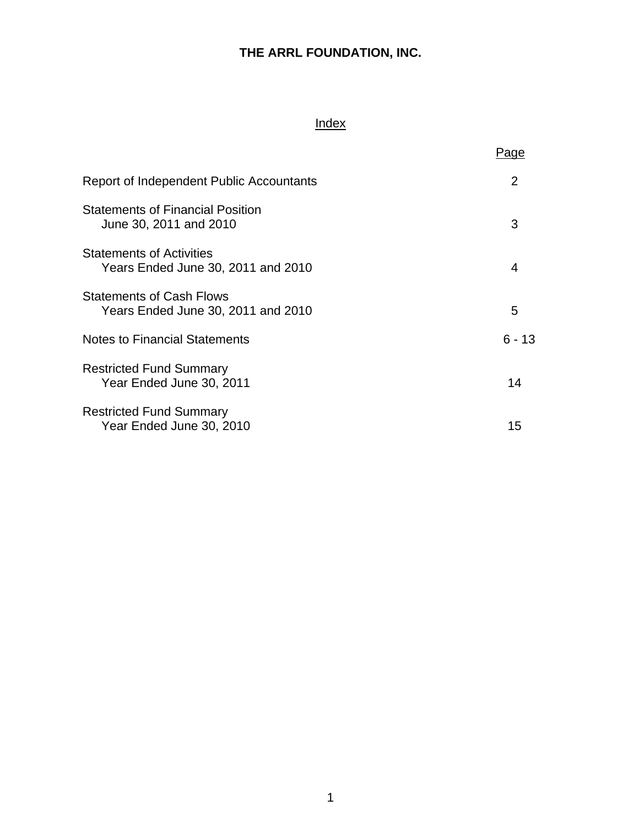# **Index**

|                                                                       | Page           |
|-----------------------------------------------------------------------|----------------|
| Report of Independent Public Accountants                              | $\overline{2}$ |
| <b>Statements of Financial Position</b><br>June 30, 2011 and 2010     | 3              |
| <b>Statements of Activities</b><br>Years Ended June 30, 2011 and 2010 | 4              |
| <b>Statements of Cash Flows</b><br>Years Ended June 30, 2011 and 2010 | 5              |
| <b>Notes to Financial Statements</b>                                  | $6 - 13$       |
| <b>Restricted Fund Summary</b><br>Year Ended June 30, 2011            | 14             |
| <b>Restricted Fund Summary</b><br>Year Ended June 30, 2010            | 15             |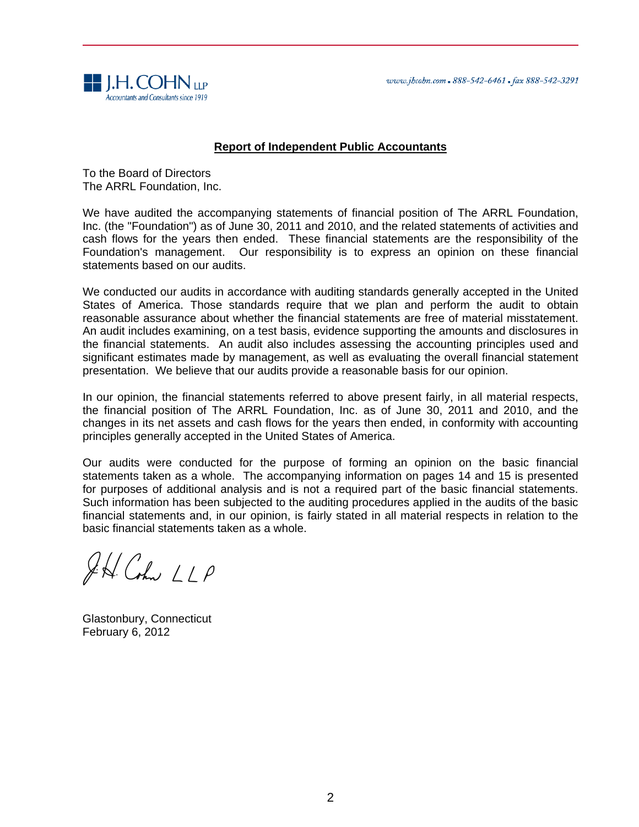

### **Report of Independent Public Accountants**

To the Board of Directors The ARRL Foundation, Inc.

We have audited the accompanying statements of financial position of The ARRL Foundation, Inc. (the "Foundation") as of June 30, 2011 and 2010, and the related statements of activities and cash flows for the years then ended. These financial statements are the responsibility of the Foundation's management. Our responsibility is to express an opinion on these financial statements based on our audits.

We conducted our audits in accordance with auditing standards generally accepted in the United States of America. Those standards require that we plan and perform the audit to obtain reasonable assurance about whether the financial statements are free of material misstatement. An audit includes examining, on a test basis, evidence supporting the amounts and disclosures in the financial statements. An audit also includes assessing the accounting principles used and significant estimates made by management, as well as evaluating the overall financial statement presentation. We believe that our audits provide a reasonable basis for our opinion.

In our opinion, the financial statements referred to above present fairly, in all material respects, the financial position of The ARRL Foundation, Inc. as of June 30, 2011 and 2010, and the changes in its net assets and cash flows for the years then ended, in conformity with accounting principles generally accepted in the United States of America.

Our audits were conducted for the purpose of forming an opinion on the basic financial statements taken as a whole. The accompanying information on pages 14 and 15 is presented for purposes of additional analysis and is not a required part of the basic financial statements. Such information has been subjected to the auditing procedures applied in the audits of the basic financial statements and, in our opinion, is fairly stated in all material respects in relation to the basic financial statements taken as a whole.

 $H(\mathcal{L}_{\mathcal{L}})$ 

Glastonbury, Connecticut February 6, 2012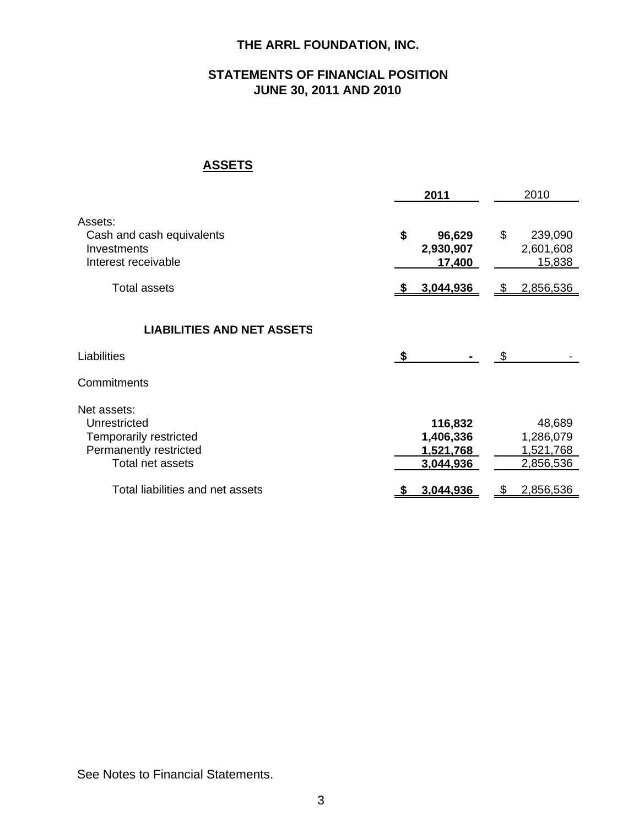# **STATEMENTS OF FINANCIAL POSITION JUNE 30, 2011 AND 2010**

# **ASSETS**

|                                                                                                     | 2011                                           | 2010                                          |
|-----------------------------------------------------------------------------------------------------|------------------------------------------------|-----------------------------------------------|
| Assets:<br>Cash and cash equivalents<br>Investments<br>Interest receivable                          | \$<br>96,629<br>2,930,907<br>17,400            | \$<br>239,090<br>2,601,608<br>15,838          |
| <b>Total assets</b>                                                                                 | 3,044,936                                      | 2,856,536                                     |
| <b>LIABILITIES AND NET ASSETS</b><br>Liabilities                                                    | \$                                             | \$                                            |
| Commitments                                                                                         |                                                |                                               |
| Net assets:<br>Unrestricted<br>Temporarily restricted<br>Permanently restricted<br>Total net assets | 116,832<br>1,406,336<br>1,521,768<br>3,044,936 | 48,689<br>1,286,079<br>1,521,768<br>2,856,536 |
| Total liabilities and net assets                                                                    | 3,044,936                                      | 2,856,536                                     |

See Notes to Financial Statements.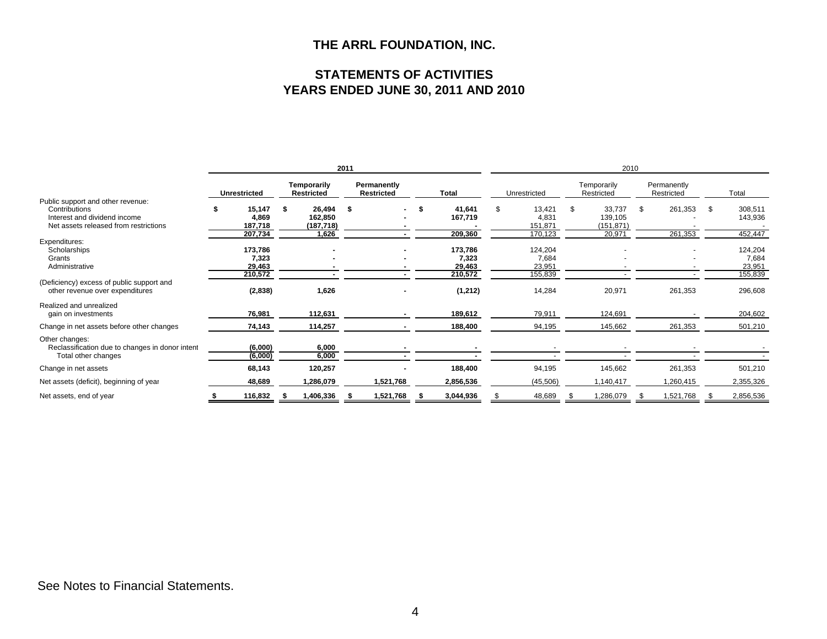# **STATEMENTS OF ACTIVITIESYEARS ENDED JUNE 30, 2011 AND 2010**

|                                                                                                                             | 2011                |                                       |   |                                         |    |                                  |  | 2010                                  |  |                                       |     |                                           |    |                           |      |                                       |
|-----------------------------------------------------------------------------------------------------------------------------|---------------------|---------------------------------------|---|-----------------------------------------|----|----------------------------------|--|---------------------------------------|--|---------------------------------------|-----|-------------------------------------------|----|---------------------------|------|---------------------------------------|
|                                                                                                                             | <b>Unrestricted</b> |                                       |   | Temporarily<br><b>Restricted</b>        |    | Permanently<br><b>Restricted</b> |  | Total                                 |  | Unrestricted                          |     | Temporarily<br>Restricted                 |    | Permanently<br>Restricted |      | Total                                 |
| Public support and other revenue:<br>Contributions<br>Interest and dividend income<br>Net assets released from restrictions |                     | 15,147<br>4,869<br>187,718<br>207,734 | ж | 26,494<br>162,850<br>(187,718)<br>1,626 | -5 | ۰.                               |  | 41,641<br>167,719<br>209,360          |  | 13,421<br>4,831<br>151,871<br>170,123 | \$. | 33,737<br>139,105<br>(151, 871)<br>20,971 | \$ | 261,353<br>261,353        | - \$ | 308,511<br>143,936<br>452,447         |
| Expenditures:<br>Scholarships<br>Grants<br>Administrative                                                                   |                     | 173,786<br>7,323<br>29,463<br>210,572 |   |                                         |    |                                  |  | 173,786<br>7,323<br>29,463<br>210,572 |  | 124,204<br>7,684<br>23,951<br>155,839 |     |                                           |    |                           |      | 124,204<br>7,684<br>23,951<br>155,839 |
| (Deficiency) excess of public support and<br>other revenue over expenditures                                                |                     | (2,838)                               |   | 1,626                                   |    |                                  |  | (1, 212)                              |  | 14,284                                |     | 20,971                                    |    | 261,353                   |      | 296,608                               |
| Realized and unrealized<br>gain on investments                                                                              |                     | 76,981                                |   | 112,631                                 |    |                                  |  | 189,612                               |  | 79,911                                |     | 124,691                                   |    |                           |      | 204,602                               |
| Change in net assets before other changes                                                                                   |                     | 74,143                                |   | 114,257                                 |    |                                  |  | 188,400                               |  | 94,195                                |     | 145,662                                   |    | 261,353                   |      | 501,210                               |
| Other changes:<br>Reclassification due to changes in donor intent<br>Total other changes                                    |                     | (6,000)<br>(6,000)                    |   | 6,000<br>6,000                          |    |                                  |  |                                       |  |                                       |     |                                           |    |                           |      |                                       |
| Change in net assets                                                                                                        |                     | 68,143                                |   | 120,257                                 |    |                                  |  | 188,400                               |  | 94,195                                |     | 145,662                                   |    | 261,353                   |      | 501,210                               |
| Net assets (deficit), beginning of year                                                                                     |                     | 48,689                                |   | 1,286,079                               |    | 1,521,768                        |  | 2,856,536                             |  | (45, 506)                             |     | 1,140,417                                 |    | 1,260,415                 |      | 2,355,326                             |
| Net assets, end of year                                                                                                     |                     | 116,832                               |   | 1,406,336                               |    | 1,521,768                        |  | 3,044,936                             |  | 48,689                                |     | 1,286,079                                 |    | 1,521,768                 |      | 2,856,536                             |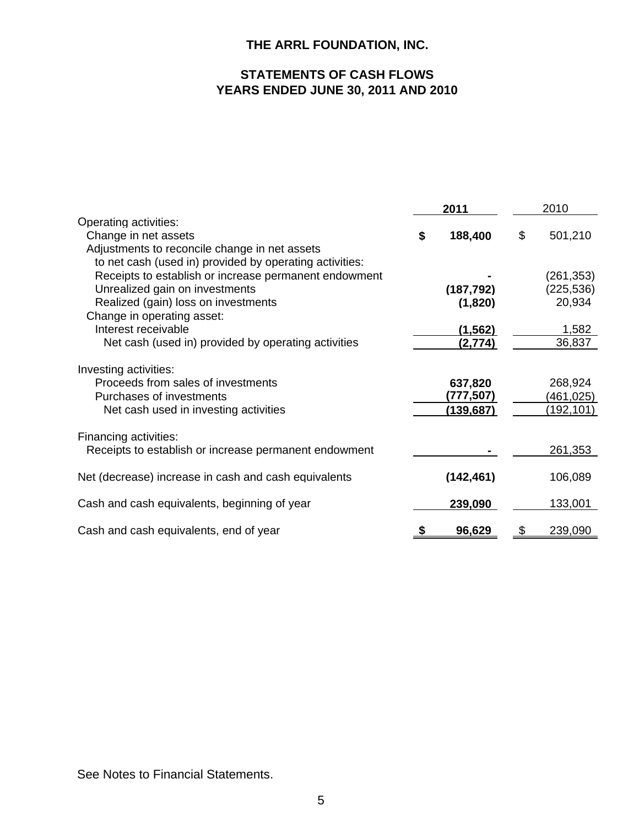# **STATEMENTS OF CASH FLOWS YEARS ENDED JUNE 30, 2011 AND 2010**

|                                                                                                                                                           |   | 2011                               |    | 2010                              |
|-----------------------------------------------------------------------------------------------------------------------------------------------------------|---|------------------------------------|----|-----------------------------------|
| Operating activities:<br>Change in net assets<br>Adjustments to reconcile change in net assets<br>to net cash (used in) provided by operating activities: | S | 188,400                            | \$ | 501,210                           |
| Receipts to establish or increase permanent endowment<br>Unrealized gain on investments                                                                   |   | (187, 792)                         |    | (261, 353)<br>(225, 536)          |
| Realized (gain) loss on investments<br>Change in operating asset:                                                                                         |   | (1,820)                            |    | 20,934                            |
| Interest receivable                                                                                                                                       |   | (1, 562)                           |    | 1,582                             |
| Net cash (used in) provided by operating activities                                                                                                       |   | (2,774)                            |    | 36,837                            |
| Investing activities:<br>Proceeds from sales of investments<br>Purchases of investments<br>Net cash used in investing activities                          |   | 637,820<br>(777,507)<br>(139, 687) |    | 268,924<br>(461,025)<br>(192,101) |
| Financing activities:<br>Receipts to establish or increase permanent endowment                                                                            |   |                                    |    | 261,353                           |
| Net (decrease) increase in cash and cash equivalents                                                                                                      |   | (142, 461)                         |    | 106,089                           |
| Cash and cash equivalents, beginning of year                                                                                                              |   | 239,090                            |    | 133,001                           |
| Cash and cash equivalents, end of year                                                                                                                    |   | 96,629                             | Ψ  | 239,090                           |

See Notes to Financial Statements.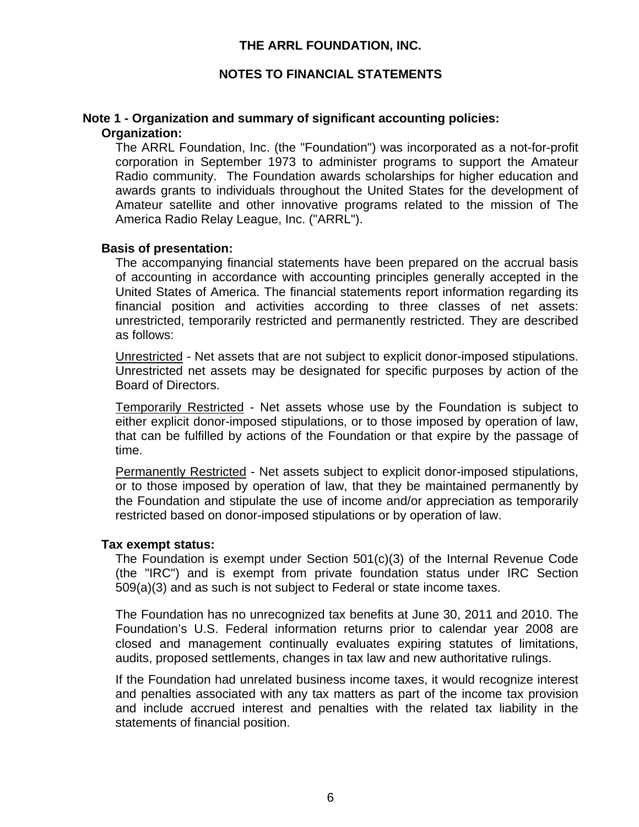### **NOTES TO FINANCIAL STATEMENTS**

# **Note 1 - Organization and summary of significant accounting policies:**

### **Organization:**

The ARRL Foundation, Inc. (the "Foundation") was incorporated as a not-for-profit corporation in September 1973 to administer programs to support the Amateur Radio community. The Foundation awards scholarships for higher education and awards grants to individuals throughout the United States for the development of Amateur satellite and other innovative programs related to the mission of The America Radio Relay League, Inc. ("ARRL").

### **Basis of presentation:**

The accompanying financial statements have been prepared on the accrual basis of accounting in accordance with accounting principles generally accepted in the United States of America. The financial statements report information regarding its financial position and activities according to three classes of net assets: unrestricted, temporarily restricted and permanently restricted. They are described as follows:

Unrestricted - Net assets that are not subject to explicit donor-imposed stipulations. Unrestricted net assets may be designated for specific purposes by action of the Board of Directors.

Temporarily Restricted - Net assets whose use by the Foundation is subject to either explicit donor-imposed stipulations, or to those imposed by operation of law, that can be fulfilled by actions of the Foundation or that expire by the passage of time.

Permanently Restricted - Net assets subject to explicit donor-imposed stipulations, or to those imposed by operation of law, that they be maintained permanently by the Foundation and stipulate the use of income and/or appreciation as temporarily restricted based on donor-imposed stipulations or by operation of law.

### **Tax exempt status:**

The Foundation is exempt under Section 501(c)(3) of the Internal Revenue Code (the "IRC") and is exempt from private foundation status under IRC Section 509(a)(3) and as such is not subject to Federal or state income taxes.

The Foundation has no unrecognized tax benefits at June 30, 2011 and 2010. The Foundation's U.S. Federal information returns prior to calendar year 2008 are closed and management continually evaluates expiring statutes of limitations, audits, proposed settlements, changes in tax law and new authoritative rulings.

If the Foundation had unrelated business income taxes, it would recognize interest and penalties associated with any tax matters as part of the income tax provision and include accrued interest and penalties with the related tax liability in the statements of financial position.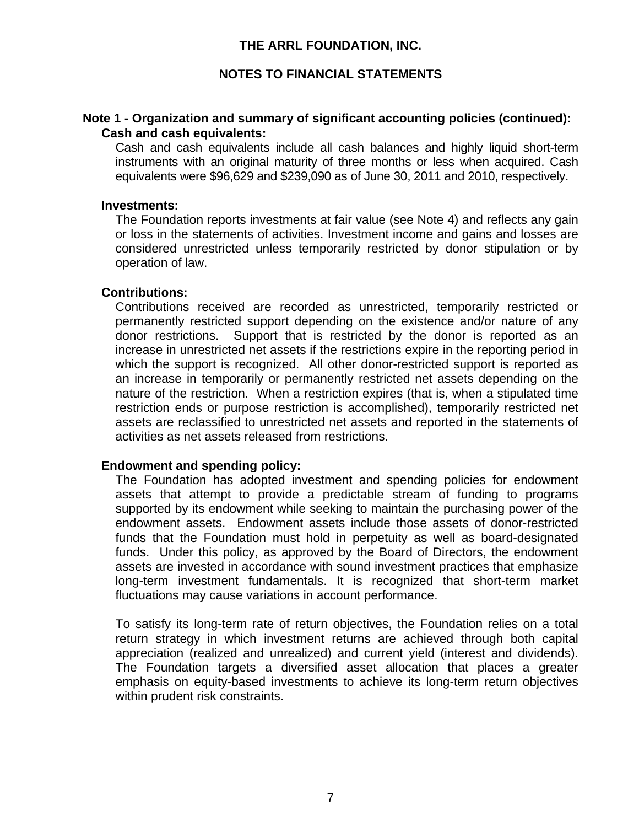### **Note 1 - Organization and summary of significant accounting policies (continued): Cash and cash equivalents:**

Cash and cash equivalents include all cash balances and highly liquid short-term instruments with an original maturity of three months or less when acquired. Cash equivalents were \$96,629 and \$239,090 as of June 30, 2011 and 2010, respectively.

### **Investments:**

The Foundation reports investments at fair value (see Note 4) and reflects any gain or loss in the statements of activities. Investment income and gains and losses are considered unrestricted unless temporarily restricted by donor stipulation or by operation of law.

# **Contributions:**

Contributions received are recorded as unrestricted, temporarily restricted or permanently restricted support depending on the existence and/or nature of any donor restrictions. Support that is restricted by the donor is reported as an increase in unrestricted net assets if the restrictions expire in the reporting period in which the support is recognized. All other donor-restricted support is reported as an increase in temporarily or permanently restricted net assets depending on the nature of the restriction. When a restriction expires (that is, when a stipulated time restriction ends or purpose restriction is accomplished), temporarily restricted net assets are reclassified to unrestricted net assets and reported in the statements of activities as net assets released from restrictions.

### **Endowment and spending policy:**

The Foundation has adopted investment and spending policies for endowment assets that attempt to provide a predictable stream of funding to programs supported by its endowment while seeking to maintain the purchasing power of the endowment assets. Endowment assets include those assets of donor-restricted funds that the Foundation must hold in perpetuity as well as board-designated funds. Under this policy, as approved by the Board of Directors, the endowment assets are invested in accordance with sound investment practices that emphasize long-term investment fundamentals. It is recognized that short-term market fluctuations may cause variations in account performance.

To satisfy its long-term rate of return objectives, the Foundation relies on a total return strategy in which investment returns are achieved through both capital appreciation (realized and unrealized) and current yield (interest and dividends). The Foundation targets a diversified asset allocation that places a greater emphasis on equity-based investments to achieve its long-term return objectives within prudent risk constraints.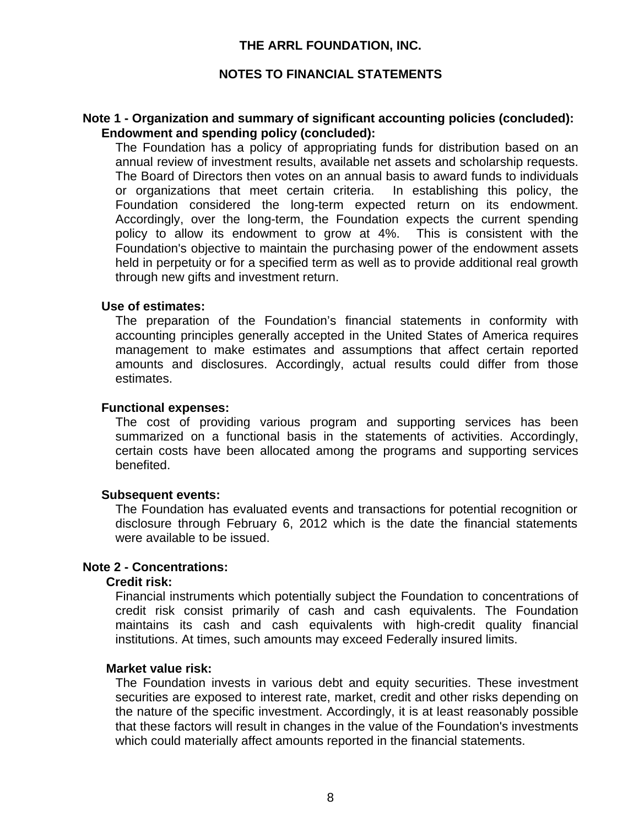### **NOTES TO FINANCIAL STATEMENTS**

### **Note 1 - Organization and summary of significant accounting policies (concluded): Endowment and spending policy (concluded):**

The Foundation has a policy of appropriating funds for distribution based on an annual review of investment results, available net assets and scholarship requests. The Board of Directors then votes on an annual basis to award funds to individuals or organizations that meet certain criteria. In establishing this policy, the Foundation considered the long-term expected return on its endowment. Accordingly, over the long-term, the Foundation expects the current spending policy to allow its endowment to grow at 4%. This is consistent with the Foundation's objective to maintain the purchasing power of the endowment assets held in perpetuity or for a specified term as well as to provide additional real growth through new gifts and investment return.

### **Use of estimates:**

The preparation of the Foundation's financial statements in conformity with accounting principles generally accepted in the United States of America requires management to make estimates and assumptions that affect certain reported amounts and disclosures. Accordingly, actual results could differ from those estimates.

### **Functional expenses:**

The cost of providing various program and supporting services has been summarized on a functional basis in the statements of activities. Accordingly, certain costs have been allocated among the programs and supporting services benefited.

### **Subsequent events:**

The Foundation has evaluated events and transactions for potential recognition or disclosure through February 6, 2012 which is the date the financial statements were available to be issued.

### **Note 2 - Concentrations:**

### **Credit risk:**

Financial instruments which potentially subject the Foundation to concentrations of credit risk consist primarily of cash and cash equivalents. The Foundation maintains its cash and cash equivalents with high-credit quality financial institutions. At times, such amounts may exceed Federally insured limits.

### **Market value risk:**

The Foundation invests in various debt and equity securities. These investment securities are exposed to interest rate, market, credit and other risks depending on the nature of the specific investment. Accordingly, it is at least reasonably possible that these factors will result in changes in the value of the Foundation's investments which could materially affect amounts reported in the financial statements.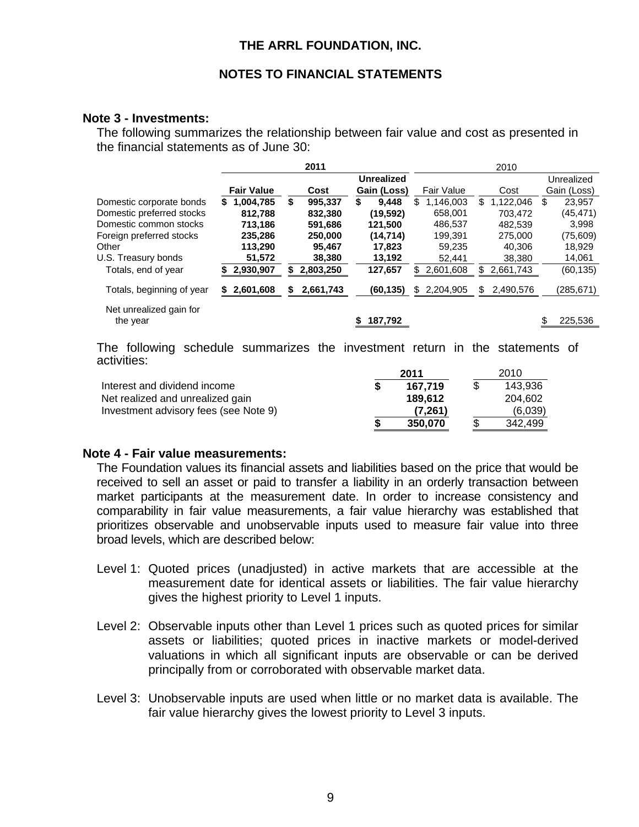### **NOTES TO FINANCIAL STATEMENTS**

### **Note 3 - Investments:**

The following summarizes the relationship between fair value and cost as presented in the financial statements as of June 30:

|                                     |                   | 2011           |                   |                   | 2010            |              |
|-------------------------------------|-------------------|----------------|-------------------|-------------------|-----------------|--------------|
|                                     |                   |                | <b>Unrealized</b> |                   |                 | Unrealized   |
|                                     | <b>Fair Value</b> | Cost           | Gain (Loss)       | <b>Fair Value</b> | Cost            | Gain (Loss)  |
| Domestic corporate bonds            | 1,004,785<br>S.   | 995,337<br>S   | 9.448<br>S.       | 1.146.003<br>\$   | 1,122,046<br>S  | 23,957<br>\$ |
| Domestic preferred stocks           | 812,788           | 832,380        | (19, 592)         | 658,001           | 703.472         | (45, 471)    |
| Domestic common stocks              | 713,186           | 591,686        | 121.500           | 486,537           | 482.539         | 3,998        |
| Foreign preferred stocks            | 235,286           | 250,000        | (14, 714)         | 199,391           | 275.000         | (75, 609)    |
| Other                               | 113,290           | 95.467         | 17.823            | 59,235            | 40.306          | 18,929       |
| U.S. Treasury bonds                 | 51,572            | 38,380         | 13,192            | 52.441            | 38,380          | 14,061       |
| Totals, end of year                 | 2,930,907         | 2,803,250      | 127,657           | 2,601,608<br>\$   | 2,661,743<br>S  | (60, 135)    |
| Totals, beginning of year           | 2,601,608<br>S.   | 2,661,743<br>S | (60, 135)         | 2,204,905<br>\$   | 2,490,576<br>\$ | (285,671)    |
| Net unrealized gain for<br>the year |                   |                | 187,792           |                   |                 | 225,536      |

The following schedule summarizes the investment return in the statements of activities:

|                                       | 2011    |   | 2010    |
|---------------------------------------|---------|---|---------|
| Interest and dividend income          | 167.719 |   | 143.936 |
| Net realized and unrealized gain      | 189.612 |   | 204.602 |
| Investment advisory fees (see Note 9) | (7.261) |   | (6,039) |
|                                       | 350,070 | S | 342.499 |

### **Note 4 - Fair value measurements:**

The Foundation values its financial assets and liabilities based on the price that would be received to sell an asset or paid to transfer a liability in an orderly transaction between market participants at the measurement date. In order to increase consistency and comparability in fair value measurements, a fair value hierarchy was established that prioritizes observable and unobservable inputs used to measure fair value into three broad levels, which are described below:

- Level 1: Quoted prices (unadjusted) in active markets that are accessible at the measurement date for identical assets or liabilities. The fair value hierarchy gives the highest priority to Level 1 inputs.
- Level 2: Observable inputs other than Level 1 prices such as quoted prices for similar assets or liabilities; quoted prices in inactive markets or model-derived valuations in which all significant inputs are observable or can be derived principally from or corroborated with observable market data.
- Level 3: Unobservable inputs are used when little or no market data is available. The fair value hierarchy gives the lowest priority to Level 3 inputs.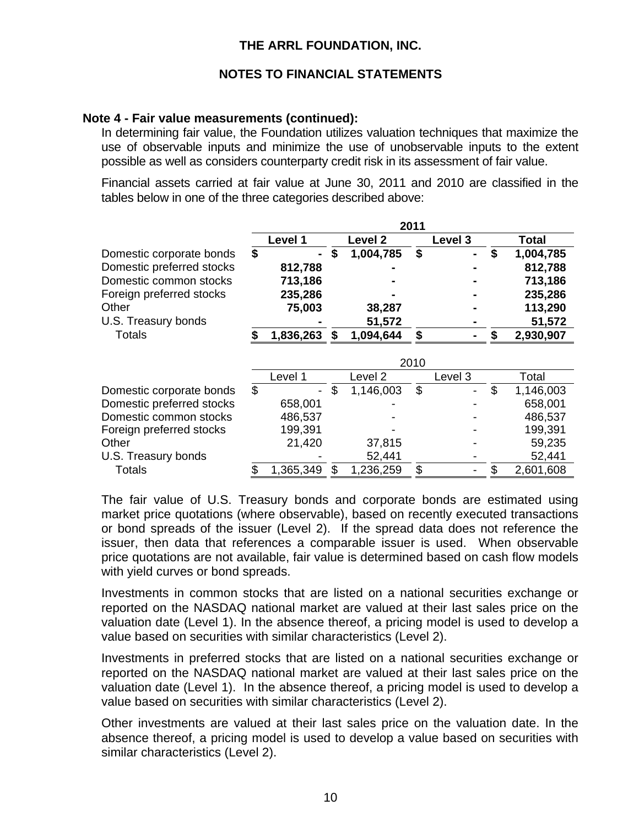# **Note 4 - Fair value measurements (continued):**

In determining fair value, the Foundation utilizes valuation techniques that maximize the use of observable inputs and minimize the use of unobservable inputs to the extent possible as well as considers counterparty credit risk in its assessment of fair value.

Financial assets carried at fair value at June 30, 2011 and 2010 are classified in the tables below in one of the three categories described above:

|                           |      |                          |    |           | 2011 |         |    |              |
|---------------------------|------|--------------------------|----|-----------|------|---------|----|--------------|
|                           |      | Level 1                  |    | Level 2   |      | Level 3 |    | <b>Total</b> |
| Domestic corporate bonds  |      | $\blacksquare$           |    | 1,004,785 | \$   | ۰.      | \$ | 1,004,785    |
| Domestic preferred stocks |      | 812,788                  |    |           |      |         |    | 812,788      |
| Domestic common stocks    |      | 713,186                  |    |           |      |         |    | 713,186      |
| Foreign preferred stocks  |      | 235,286                  |    |           |      |         |    | 235,286      |
| Other                     |      | 75,003                   |    | 38,287    |      |         |    | 113,290      |
| U.S. Treasury bonds       |      |                          |    | 51,572    |      |         |    | 51,572       |
| <b>Totals</b>             |      | 1,836,263                |    | 1,094,644 | \$   |         |    | 2,930,907    |
|                           | 2010 |                          |    |           |      |         |    |              |
|                           |      | Level 1                  |    | Level 2   |      | Level 3 |    | Total        |
| Domestic corporate bonds  | \$   | $\overline{\phantom{0}}$ | \$ | 1,146,003 | \$   |         | \$ | 1,146,003    |
| Domestic preferred stocks |      | 658,001                  |    |           |      |         |    | 658,001      |
| Domestic common stocks    |      | 486,537                  |    |           |      |         |    | 486,537      |

| Other               | 21,420                   | 37,815    | $\overline{\phantom{a}}$ | 59,235    |  |
|---------------------|--------------------------|-----------|--------------------------|-----------|--|
| U.S. Treasury bonds | $\overline{\phantom{0}}$ | 52.441    | -                        | 52.441    |  |
| Totals              | 1,365,349                | 1,236,259 |                          | 2,601,608 |  |

The fair value of U.S. Treasury bonds and corporate bonds are estimated using market price quotations (where observable), based on recently executed transactions or bond spreads of the issuer (Level 2). If the spread data does not reference the issuer, then data that references a comparable issuer is used. When observable price quotations are not available, fair value is determined based on cash flow models with yield curves or bond spreads.

Investments in common stocks that are listed on a national securities exchange or reported on the NASDAQ national market are valued at their last sales price on the valuation date (Level 1). In the absence thereof, a pricing model is used to develop a value based on securities with similar characteristics (Level 2).

Investments in preferred stocks that are listed on a national securities exchange or reported on the NASDAQ national market are valued at their last sales price on the valuation date (Level 1). In the absence thereof, a pricing model is used to develop a value based on securities with similar characteristics (Level 2).

Other investments are valued at their last sales price on the valuation date. In the absence thereof, a pricing model is used to develop a value based on securities with similar characteristics (Level 2).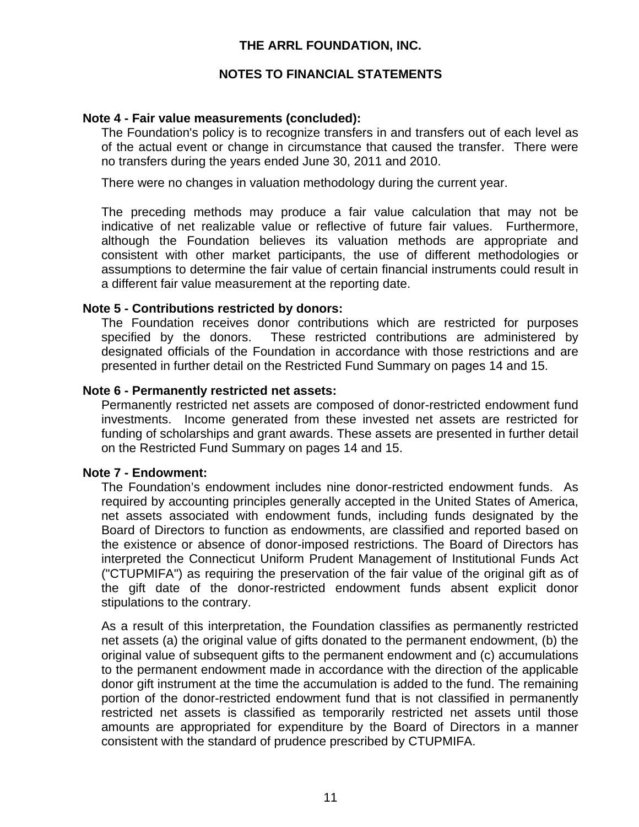# **Note 4 - Fair value measurements (concluded):**

The Foundation's policy is to recognize transfers in and transfers out of each level as of the actual event or change in circumstance that caused the transfer. There were no transfers during the years ended June 30, 2011 and 2010.

There were no changes in valuation methodology during the current year.

The preceding methods may produce a fair value calculation that may not be indicative of net realizable value or reflective of future fair values. Furthermore, although the Foundation believes its valuation methods are appropriate and consistent with other market participants, the use of different methodologies or assumptions to determine the fair value of certain financial instruments could result in a different fair value measurement at the reporting date.

# **Note 5 - Contributions restricted by donors:**

The Foundation receives donor contributions which are restricted for purposes specified by the donors. These restricted contributions are administered by designated officials of the Foundation in accordance with those restrictions and are presented in further detail on the Restricted Fund Summary on pages 14 and 15.

### **Note 6 - Permanently restricted net assets:**

Permanently restricted net assets are composed of donor-restricted endowment fund investments. Income generated from these invested net assets are restricted for funding of scholarships and grant awards. These assets are presented in further detail on the Restricted Fund Summary on pages 14 and 15.

# **Note 7 - Endowment:**

The Foundation's endowment includes nine donor-restricted endowment funds. As required by accounting principles generally accepted in the United States of America, net assets associated with endowment funds, including funds designated by the Board of Directors to function as endowments, are classified and reported based on the existence or absence of donor-imposed restrictions. The Board of Directors has interpreted the Connecticut Uniform Prudent Management of Institutional Funds Act ("CTUPMIFA") as requiring the preservation of the fair value of the original gift as of the gift date of the donor-restricted endowment funds absent explicit donor stipulations to the contrary.

As a result of this interpretation, the Foundation classifies as permanently restricted net assets (a) the original value of gifts donated to the permanent endowment, (b) the original value of subsequent gifts to the permanent endowment and (c) accumulations to the permanent endowment made in accordance with the direction of the applicable donor gift instrument at the time the accumulation is added to the fund. The remaining portion of the donor-restricted endowment fund that is not classified in permanently restricted net assets is classified as temporarily restricted net assets until those amounts are appropriated for expenditure by the Board of Directors in a manner consistent with the standard of prudence prescribed by CTUPMIFA.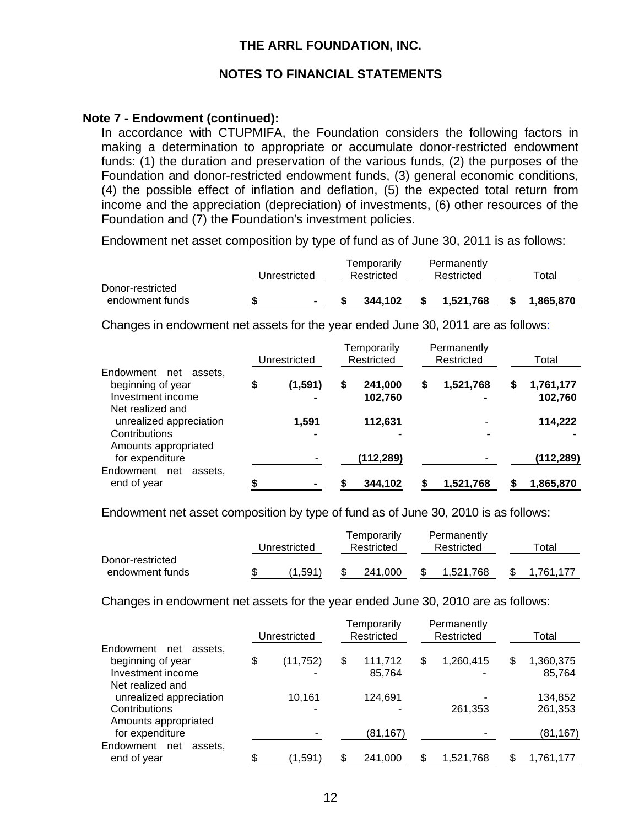# **Note 7 - Endowment (continued):**

In accordance with CTUPMIFA, the Foundation considers the following factors in making a determination to appropriate or accumulate donor-restricted endowment funds: (1) the duration and preservation of the various funds, (2) the purposes of the Foundation and donor-restricted endowment funds, (3) general economic conditions, (4) the possible effect of inflation and deflation, (5) the expected total return from income and the appreciation (depreciation) of investments, (6) other resources of the Foundation and (7) the Foundation's investment policies.

Endowment net asset composition by type of fund as of June 30, 2011 is as follows:

|                                     | Unrestricted |                | Temporarily<br>Restricted | Permanently<br>Restricted | $\tau$ otal |
|-------------------------------------|--------------|----------------|---------------------------|---------------------------|-------------|
| Donor-restricted<br>endowment funds |              | $\blacksquare$ | 344.102                   | 1,521,768                 | 1,865,870   |

Changes in endowment net assets for the year ended June 30, 2011 are as follows:

|                                                                       | Unrestricted   | Temporarily<br>Restricted | Permanently<br>Restricted |   | Total                |
|-----------------------------------------------------------------------|----------------|---------------------------|---------------------------|---|----------------------|
| Endowment<br>net<br>assets.<br>beginning of year<br>Investment income | \$<br>(1, 591) | \$<br>241,000<br>102,760  | \$<br>1,521,768           | S | 1,761,177<br>102,760 |
| Net realized and<br>unrealized appreciation                           | 1,591          | 112,631                   |                           |   | 114,222              |
| Contributions<br>Amounts appropriated<br>for expenditure              | $\blacksquare$ | (112, 289)                | $\blacksquare$            |   | (112,289)            |
| Endowment<br>net<br>assets.<br>end of year                            |                | 344,102                   | 1,521,768                 |   | 1,865,870            |

Endowment net asset composition by type of fund as of June 30, 2010 is as follows:

|                                     | Unrestricted | Temporarily<br>Restricted | Permanently<br>Restricted | $\tau$ otal |          |  |
|-------------------------------------|--------------|---------------------------|---------------------------|-------------|----------|--|
| Donor-restricted<br>endowment funds | 1.591        | 241.000                   | 1,521,768                 |             | .761.177 |  |

Changes in endowment net assets for the year ended June 30, 2010 are as follows:

|                             |    | Unrestricted | Temporarily<br>Restricted | Permanently<br>Restricted | Total           |
|-----------------------------|----|--------------|---------------------------|---------------------------|-----------------|
| Endowment<br>net<br>assets. |    |              |                           |                           |                 |
| beginning of year           | \$ | (11, 752)    | \$<br>111,712             | \$<br>1,260,415           | \$<br>1,360,375 |
| Investment income           |    |              | 85,764                    |                           | 85,764          |
| Net realized and            |    |              |                           |                           |                 |
| unrealized appreciation     |    | 10,161       | 124,691                   |                           | 134,852         |
| Contributions               |    |              |                           | 261,353                   | 261,353         |
| Amounts appropriated        |    |              |                           |                           |                 |
| for expenditure             |    |              | (81,167)                  |                           | (81,167)        |
| Endowment<br>net<br>assets. |    |              |                           |                           |                 |
| end of year                 | c  | (1,591)      | 241,000                   | 1,521,768                 | 1,761,177       |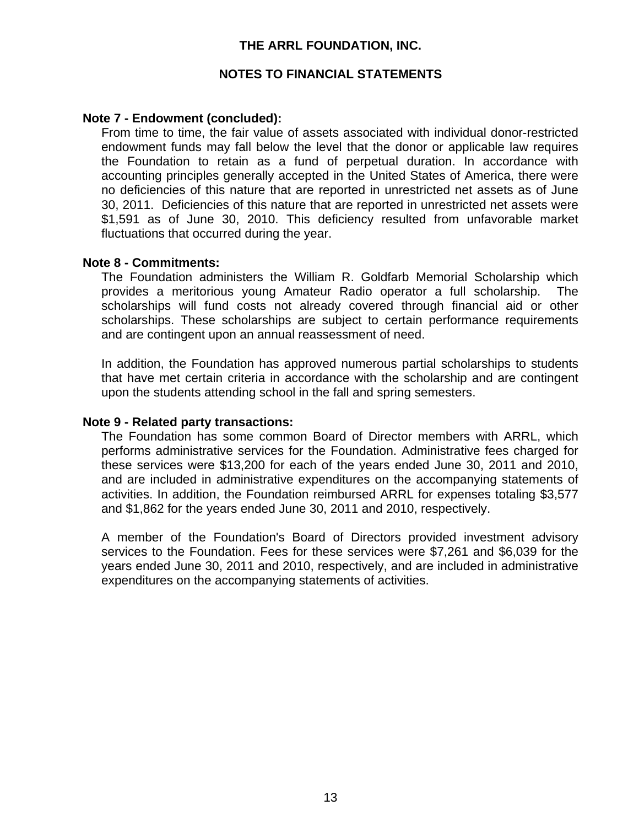### **NOTES TO FINANCIAL STATEMENTS**

### **Note 7 - Endowment (concluded):**

From time to time, the fair value of assets associated with individual donor-restricted endowment funds may fall below the level that the donor or applicable law requires the Foundation to retain as a fund of perpetual duration. In accordance with accounting principles generally accepted in the United States of America, there were no deficiencies of this nature that are reported in unrestricted net assets as of June 30, 2011. Deficiencies of this nature that are reported in unrestricted net assets were \$1,591 as of June 30, 2010. This deficiency resulted from unfavorable market fluctuations that occurred during the year.

### **Note 8 - Commitments:**

The Foundation administers the William R. Goldfarb Memorial Scholarship which provides a meritorious young Amateur Radio operator a full scholarship. The scholarships will fund costs not already covered through financial aid or other scholarships. These scholarships are subject to certain performance requirements and are contingent upon an annual reassessment of need.

In addition, the Foundation has approved numerous partial scholarships to students that have met certain criteria in accordance with the scholarship and are contingent upon the students attending school in the fall and spring semesters.

### **Note 9 - Related party transactions:**

The Foundation has some common Board of Director members with ARRL, which performs administrative services for the Foundation. Administrative fees charged for these services were \$13,200 for each of the years ended June 30, 2011 and 2010, and are included in administrative expenditures on the accompanying statements of activities. In addition, the Foundation reimbursed ARRL for expenses totaling \$3,577 and \$1,862 for the years ended June 30, 2011 and 2010, respectively.

A member of the Foundation's Board of Directors provided investment advisory services to the Foundation. Fees for these services were \$7,261 and \$6,039 for the years ended June 30, 2011 and 2010, respectively, and are included in administrative expenditures on the accompanying statements of activities.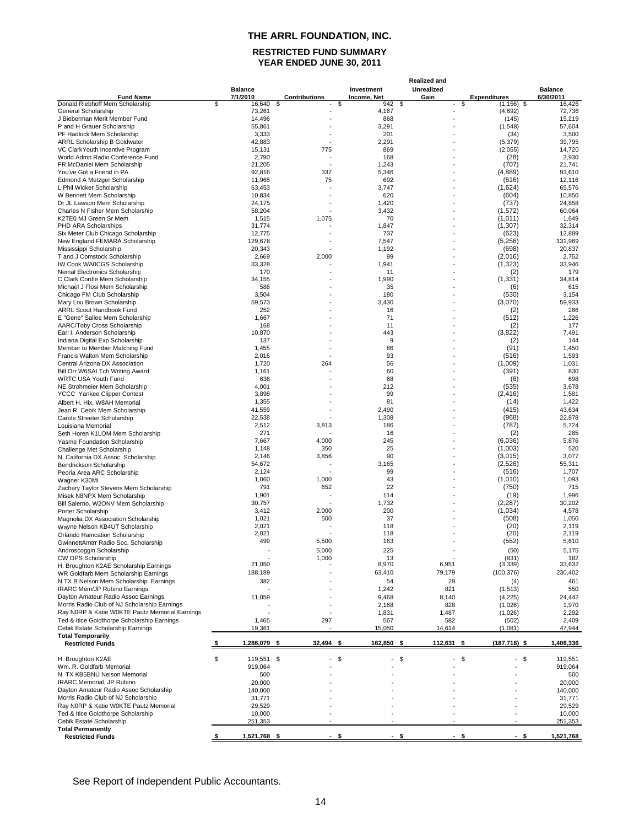#### **RESTRICTED FUND SUMMARY YEAR ENDED JUNE 30, 2011**

|                                                                               |                          |                           |                          | <b>Realized and</b>  |                                           |                     |  |  |  |  |
|-------------------------------------------------------------------------------|--------------------------|---------------------------|--------------------------|----------------------|-------------------------------------------|---------------------|--|--|--|--|
|                                                                               | <b>Balance</b>           |                           | Investment               | Unrealized           |                                           | <b>Balance</b>      |  |  |  |  |
| <b>Fund Name</b><br>Donald Riebhoff Mem Scholarship                           | 7/1/2010<br>\$<br>16,640 | <b>Contributions</b><br>S | Income, Net<br>942<br>\$ | Gain<br>\$           | <b>Expenditures</b><br>S<br>$(1, 156)$ \$ | 6/30/2011<br>16,426 |  |  |  |  |
| General Scholarship                                                           | 73,261                   |                           | 4,167                    |                      | (4,692)                                   | 72,736              |  |  |  |  |
| J Bieberman Merit Member Fund                                                 | 14,496                   |                           | 868                      |                      | (145)                                     | 15,219              |  |  |  |  |
| P and H Grauer Scholarship<br>PF Hadlock Mem Scholarship                      | 55,861<br>3,333          |                           | 3,291<br>201             |                      | (1, 548)<br>(34)                          | 57,604<br>3,500     |  |  |  |  |
| <b>ARRL Scholarship B Goldwater</b>                                           | 42,883                   |                           | 2,291                    |                      | (5, 379)                                  | 39,795              |  |  |  |  |
| VC ClarkYouth Incentive Program                                               | 15,131                   | 775                       | 869                      |                      | (2,055)                                   | 14,720              |  |  |  |  |
| World Admn Radio Conference Fund                                              | 2,790                    |                           | 168                      |                      | (28)                                      | 2,930               |  |  |  |  |
| FR McDaniel Mem Scholarship                                                   | 21,205                   |                           | 1,243                    |                      | (707)                                     | 21,741              |  |  |  |  |
| You've Got a Friend in PA<br>Edmond A Metzger Scholarship                     | 92,816                   | 337                       | 5,346<br>692             |                      | (4,889)                                   | 93,610<br>12,116    |  |  |  |  |
| L Phil Wicker Scholarship                                                     | 11,965<br>63,453         | 75                        | 3,747                    |                      | (616)<br>(1,624)                          | 65,576              |  |  |  |  |
| W Bennett Mem Scholarship                                                     | 10,834                   |                           | 620                      |                      | (604)                                     | 10,850              |  |  |  |  |
| Dr JL Lawson Mem Scholarship                                                  | 24,175                   |                           | 1,420                    |                      | (737)                                     | 24,858              |  |  |  |  |
| Charles N Fisher Mem Scholarship                                              | 58,204                   |                           | 3,432                    |                      | (1,572)                                   | 60,064              |  |  |  |  |
| K2TE0 MJ Green Sr Mem                                                         | 1,515                    | 1,075                     | 70                       |                      | (1,011)<br>(1,307)                        | 1,649<br>32,314     |  |  |  |  |
| PHD ARA Scholarships<br>Six Meter Club Chicago Scholarship                    | 31,774<br>12,775         |                           | 1,847<br>737             |                      | (623)                                     | 12,889              |  |  |  |  |
| New England FEMARA Scholarship                                                | 129,678                  |                           | 7,547                    |                      | (5,256)                                   | 131,969             |  |  |  |  |
| Mississippi Scholarship                                                       | 20,343                   |                           | 1,192                    |                      | (698)                                     | 20,837              |  |  |  |  |
| T and J Comstock Scholarship                                                  | 2,669                    | 2,000                     | 99                       |                      | (2,016)                                   | 2,752               |  |  |  |  |
| IW Cook WA0CGS Scholarship                                                    | 33,328                   |                           | 1,941                    |                      | (1, 323)                                  | 33,946              |  |  |  |  |
| Nemal Electronics Scholarship<br>C Clark Cordle Mem Scholarship               | 170<br>34,155            |                           | 11<br>1,990              |                      | (2)<br>(1, 331)                           | 179<br>34,814       |  |  |  |  |
| Michael J Flosi Mem Scholarship                                               | 586                      |                           | 35                       |                      | (6)                                       | 615                 |  |  |  |  |
| Chicago FM Club Scholarship                                                   | 3,504                    |                           | 180                      |                      | (530)                                     | 3,154               |  |  |  |  |
| Mary Lou Brown Scholarship                                                    | 59,573                   |                           | 3,430                    |                      | (3,070)                                   | 59,933              |  |  |  |  |
| ARRL Scout Handbook Fund                                                      | 252                      |                           | 16                       |                      | (2)                                       | 266                 |  |  |  |  |
| E "Gene" Sallee Mem Scholarship<br>AARC/Toby Cross Scholarship                | 1,667<br>168             |                           | 71<br>11                 |                      | (512)<br>(2)                              | 1,226<br>177        |  |  |  |  |
| Earl I. Anderson Scholarship                                                  | 10,870                   |                           | 443                      |                      | (3,822)                                   | 7,491               |  |  |  |  |
| Indiana Digital Exp Scholarship                                               | 137                      |                           | 9                        |                      | (2)                                       | 144                 |  |  |  |  |
| Member to Member Matching Fund                                                | 1,455                    |                           | 86                       |                      | (91)                                      | 1,450               |  |  |  |  |
| Francis Walton Mem Scholarship                                                | 2,016                    |                           | 93                       |                      | (516)                                     | 1,593               |  |  |  |  |
| Central Arizona DX Association<br>Bill Orr W6SAI Tch Writing Award            | 1,720<br>1,161           | 264                       | 56<br>60                 |                      | (1,009)<br>(391)                          | 1,031<br>830        |  |  |  |  |
| WRTC USA Youth Fund                                                           | 636                      |                           | 68                       |                      | (6)                                       | 698                 |  |  |  |  |
| NE Strohmeier Mem Scholarship                                                 | 4,001                    |                           | 212                      |                      | (535)                                     | 3,678               |  |  |  |  |
| YCCC Yankee Clipper Contest                                                   | 3,898                    |                           | 99                       |                      | (2,416)                                   | 1,581               |  |  |  |  |
| Albert H. Hix, W8AH Memorial                                                  | 1,355                    |                           | 81                       |                      | (14)                                      | 1,422               |  |  |  |  |
| Jean R. Cebik Mem Scholarship                                                 | 41,559                   |                           | 2,490                    |                      | (415)                                     | 43,634              |  |  |  |  |
| Carole Streeter Scholarship<br>Louisiana Memorial                             | 22,538<br>2,512          | 3,813                     | 1,308<br>186             |                      | (968)<br>(787)                            | 22,878<br>5,724     |  |  |  |  |
| Seth Horen K1LOM Mem Scholarship                                              | 271                      |                           | 16                       |                      | (2)                                       | 285                 |  |  |  |  |
| Yasme Foundation Scholarship                                                  | 7,667                    | 4,000                     | 245                      |                      | (6,036)                                   | 5,876               |  |  |  |  |
| Challenge Met Scholarship                                                     | 1,148                    | 350                       | 25                       |                      | (1,003)                                   | 520                 |  |  |  |  |
| N. California DX Assoc. Scholarship                                           | 2,146                    | 3,856                     | 90                       |                      | (3,015)                                   | 3,077               |  |  |  |  |
| Bendrickson Scholarship                                                       | 54,672<br>2,124          |                           | 3,165                    |                      | (2,526)                                   | 55,311<br>1,707     |  |  |  |  |
| Peoria Area ARC Scholarship<br>Wagner K30MI                                   | 1,060                    | 1,000                     | 99<br>43                 |                      | (516)<br>(1,010)                          | 1,093               |  |  |  |  |
| Zachary Taylor Stevens Mem Scholarship                                        | 791                      | 652                       | 22                       |                      | (750)                                     | 715                 |  |  |  |  |
| Misek N8NPX Mem Scholarship                                                   | 1,901                    |                           | 114                      |                      | (19)                                      | 1,996               |  |  |  |  |
| Bill Salerno, W2ONV Mem Scholarship                                           | 30,757                   |                           | 1,732                    |                      | (2, 287)                                  | 30,202              |  |  |  |  |
| Porter Scholarship                                                            | 3,412                    | 2,000                     | 200                      |                      | (1,034)                                   | 4,578               |  |  |  |  |
| Magnolia DX Association Scholarship                                           | 1,021<br>2,021           | 500                       | 37<br>118                |                      | (508)<br>(20)                             | 1,050<br>2,119      |  |  |  |  |
| Wayne Nelson KB4UT Scholarship<br>Orlando Hamcation Scholarship               | 2,021                    |                           | 118                      |                      | (20)                                      | 2,119               |  |  |  |  |
| GwinnettAmtrr Radio Soc. Scholarship                                          | 499                      | 5,500                     | 163                      |                      | (552)                                     | 5,610               |  |  |  |  |
| Androscoggin Scholarship                                                      |                          | 5,000                     | 225                      |                      | (50)                                      | 5,175               |  |  |  |  |
| CW OPS Scholarship                                                            |                          | 1,000                     | 13                       |                      | (831)                                     | 182                 |  |  |  |  |
| H. Broughton K2AE Scholarship Earnings                                        | 21,050                   |                           | 8,970                    | 6,951                | (3, 339)                                  | 33,632              |  |  |  |  |
| WR Goldfarb Mem Scholarship Earnings                                          | 188,189                  |                           | 63,410                   | 79,179               | (100, 376)                                | 230,402             |  |  |  |  |
| N TX B Nelson Mem Scholarship Earnings<br>IRARC Mem/JP Rubino Earnings        | 382                      |                           | 54<br>1,242              | 29<br>821            | (4)<br>(1, 513)                           | 461<br>550          |  |  |  |  |
| Dayton Amateur Radio Assoc Earnings                                           | 11,059                   |                           | 9,468                    | 8,140                | (4,225)                                   | 24,442              |  |  |  |  |
| Morris Radio Club of NJ Scholarship Earnings                                  |                          |                           | 2,168                    | 828                  | (1,026)                                   | 1,970               |  |  |  |  |
| Ray N0RP & Katie W0KTE Pautz Memorial Earnings                                | ٠                        |                           | 1,831                    | 1,487                | (1,026)                                   | 2,292               |  |  |  |  |
| Ted & Itice Goldthorpe Scholarship Earnings                                   | 1,465                    | 297                       | 567                      | 582                  | (502)                                     | 2,409               |  |  |  |  |
| Cebik Estate Scholarship Earnings<br><b>Total Temporarily</b>                 | 19,361                   |                           | 15,050                   | 14,614               | (1,081)                                   | 47,944              |  |  |  |  |
| <b>Restricted Funds</b>                                                       | 1,286,079 \$             | 32,494                    | Ŝ.<br>162,850 \$         | 112,631              | $(187, 718)$ \$<br>\$                     | 1,406,336           |  |  |  |  |
| H. Broughton K2AE                                                             | \$<br>119,551 \$         | $\mathbf{r}$              | \$<br>$\sim$             | \$<br>$\blacksquare$ | \$<br>$\mathbf{r}$                        | \$<br>119,551       |  |  |  |  |
| Wm. R. Goldfarb Memorial                                                      | 919,064                  |                           |                          |                      |                                           | 919,064             |  |  |  |  |
| N. TX KB5BNU Nelson Memorial                                                  | 500                      |                           |                          |                      |                                           | 500                 |  |  |  |  |
| IRARC Memorial, JP Rubino                                                     | 20,000                   |                           |                          |                      |                                           | 20,000              |  |  |  |  |
| Dayton Amateur Radio Assoc Scholarship<br>Morris Radio Club of NJ Scholarship | 140,000<br>31,771        |                           |                          |                      |                                           | 140,000<br>31,771   |  |  |  |  |
| Ray N0RP & Katie W0KTE Pautz Memorial                                         | 29,529                   |                           |                          |                      |                                           | 29,529              |  |  |  |  |
| Ted & Itice Goldthorpe Scholarship                                            | 10,000                   |                           |                          |                      |                                           | 10,000              |  |  |  |  |
| Cebik Estate Scholarship                                                      | 251,353                  |                           |                          |                      |                                           | 251,353             |  |  |  |  |
| <b>Total Permanently</b>                                                      | \$<br>1,521,768 \$       |                           | - \$                     | - \$                 | - \$                                      | - \$<br>1,521,768   |  |  |  |  |
| <b>Restricted Funds</b>                                                       |                          |                           |                          |                      |                                           |                     |  |  |  |  |